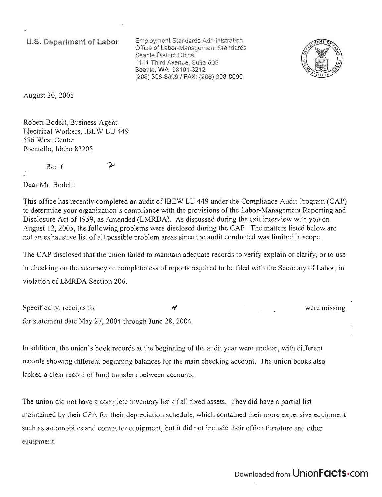**u.s. Department of Labor** 

Employment Standards Administration Office of Labor-Management Standards Seattle District Office 1111 Third Avenue, Suite 605 Seattle, WA 98101-3212 (206) 398-8099/ FAX: (206) 398-8090



August 30, 2005

Robert Bodell, Business Agent Electrical Workers, IBEW LU 449 556 West Center Pocatello, Idaho 83205

ىد

Re: (

Dear Mr. Bodell:

1his office has recently completed an audit of IBEW LU 449 under the Compliance Audit Program (CAP) to determine your organization's compliance with the provisions of the Labor-Management Reporting and Disclosure Act of 1959, as Amended (LMRDA). As discussed during the exit interview with you on August 12, 2005, the following problems were disclosed during the CAP. The matters listed below are not an exhaustive list of all possible problem areas since the audit conducted was limited in scope.

The CAP disclosed that the union failed to maintain adequate records to verify explain or clarify, or to use in checking on the accuracy or completeness of reports required to be filed with the Secretary of Labor, in violation of LMRDA Section 206.

Specifically, receipts for  $\gamma$ for statement date May 27,2004 through June 28, 2004.

**In** addition, the union's book records at the beginning of the audit year were unclear, with different records showing different beginning balances for the main checking account. The union books also lacked a clear record of fund transfers between accounts.

The union did not have a complete inventory list of all fixed assets. They did have a partial list maintained by their CPA for their depreciation schedule, which contained their more expensive equipment such as automobiles and computer equipment, but it did not include their office furniture and other equipment.

## Downloaded from Union**Facts**.com